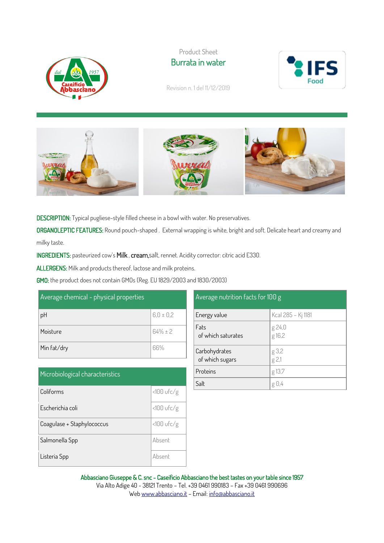

Product Sheet Burrata in water



Revision n. 1 del 11/12/2019



DESCRIPTION: Typical pugliese-style filled cheese in a bowl with water. No preservatives.

ORGANOLEPTIC FEATURES: Round pouch-shaped . External wrapping is white, bright and soft. Delicate heart and creamy and milky taste.

INGREDIENTS: pasteurized cow's Milk , cream,salt, rennet. Acidity corrector: citric acid E330.

ALLERGENS: Milk and products thereof, lactose and milk proteins.

GMO: the product does not contain GMOs (Reg. EU 1829/2003 and 1830/2003)

| Average chemical - physical properties |               |  |
|----------------------------------------|---------------|--|
| pH                                     | $6.0 \pm 0.2$ |  |
| Moisture                               | $64\% \pm 2$  |  |
| Min fat/dry                            | 66%           |  |

| Microbiological characteristics |              |  |
|---------------------------------|--------------|--|
| Coliforms                       | $<100$ ufc/g |  |
| Escherichia coli                | $<100$ ufc/g |  |
| Coagulase + Staphylococcus      | $<100$ ufc/g |  |
| Salmonella Spp                  | Absent       |  |
| Listeria Spp                    | Absent       |  |

| Average nutrition facts for 100 g |                    |  |
|-----------------------------------|--------------------|--|
| Energy value                      | Kcal 285 - Kj 1181 |  |
| Fats<br>of which saturates        | g 24,0<br>g 16,2   |  |
| Carbohydrates<br>of which sugars  | g 3,2<br>g 2,1     |  |
| Proteins                          | g 13,7             |  |
| Salt                              | g 0.               |  |

Abbasciano Giuseppe & C. snc - Caseificio Abbasciano the best tastes on your table since 1957 Via Alto Adige 40 - 38121 Trento – Tel. +39 0461 990183 – Fax +39 0461 990696

We[b www.abbasciano.it](http://www.abbasciano.it/) – Email[: info@abbasciano.it](mailto:info@abbasciano.it)